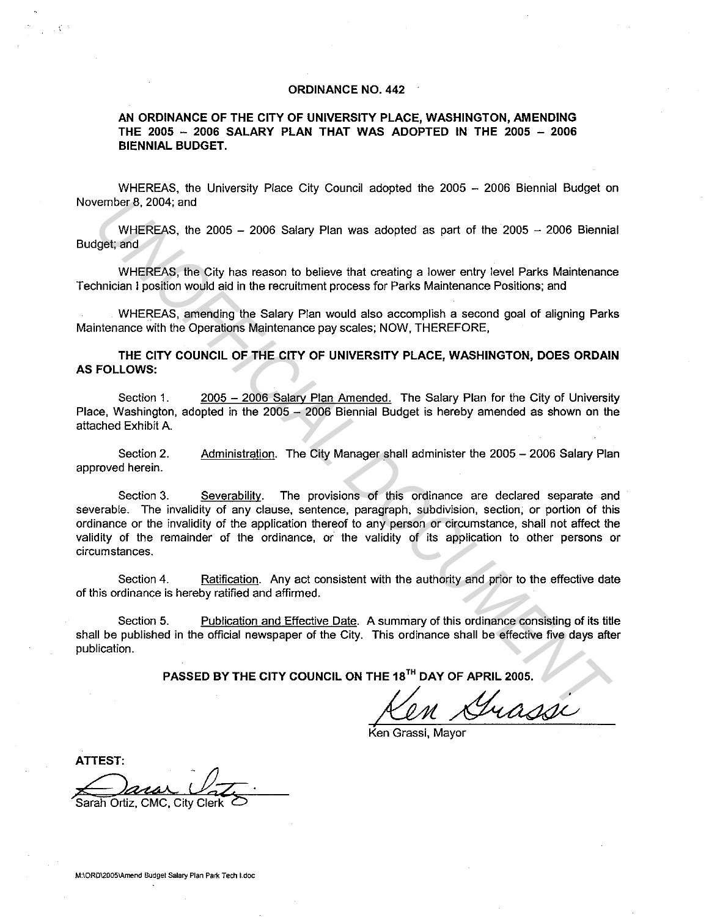## **ORDINANCE NO. 442**

**AN ORDINANCE OF THE CITY OF UNIVERSITY PLACE, WASHINGTON, AMENDING THE 2005 - 2006 SALARY PLAN THAT WAS ADOPTED IN THE 2005 - 2006 BIENNIAL BUDGET.** 

WHEREAS, the University Place City Council adopted the 2005 - 2006 Biennial Budget on November 8. 2004; and

WHEREAS, the  $2005 - 2006$  Salary Plan was adopted as part of the  $2005 - 2006$  Biennial Budget; and

WHEREAS, the City has reason to believe that creating a lower entry level Parks Maintenance Technician I position would aid in the recruitment process for Parks Maintenance Positions; and

WHEREAS, amending the Salary Plan would also accomplish a second goal of aligning Parks Maintenance with the Operations Maintenance pay scales; NOW, THEREFORE,

**THE CITY COUNCIL OF THE CITY OF UNIVERSITY PLACE, WASHINGTON, DOES ORDAIN AS FOLLOWS:** 

Section 1. 2005 - 2006 Salary Plan Amended. The Salary Plan for the City of University Place, Washington, adopted in the 2005 - 2006 Biennial Budget is hereby amended as shown on the attached Exhibit A.

Section 2. approved herein. Administration. The City Manager shall administer the 2005 - 2006 Salary Plan

Section 3. Severability. The provisions of this ordinance are declared separate and severable. The invalidity of any clause, sentence, paragraph, subdivision, section, or portion of this ordinance or the invalidity of the application thereof to any person or circumstance, shall not affect the validity of the remainder of the ordinance, or the validity of its application to other persons or circumstances. First EREAS, the 2005 – 2006 Salary Plan was adopted as part of the 2005 – 2006 Biennia<br>
UNHEREAS, the 2005 – 2006 Salary Plan was adopted as part of the 2005 – 2006 Biennia<br>
WHEREAS, the City has reason to believe that cr

Section 4. Ratification. Any act consistent with the authority and prior to the effective date of this ordinance is hereby ratified and affirmed.

Section 5. Publication and Effective Date. A summary of this ordinance consisting of its title shall be published in the official newspaper of the City. This ordinance shall be effective five days after publication.

**PASSED BY THE CITY COUNCIL ON THE 18<sup>1</sup> " DAY OF APRIL 2005.** 

m Grassi

Grassi: Mayor

**ATTEST:**  Sarah Ortiz, CMC, City Clerk O

 $\mathcal{L} \in \mathcal{L}^{1,1}$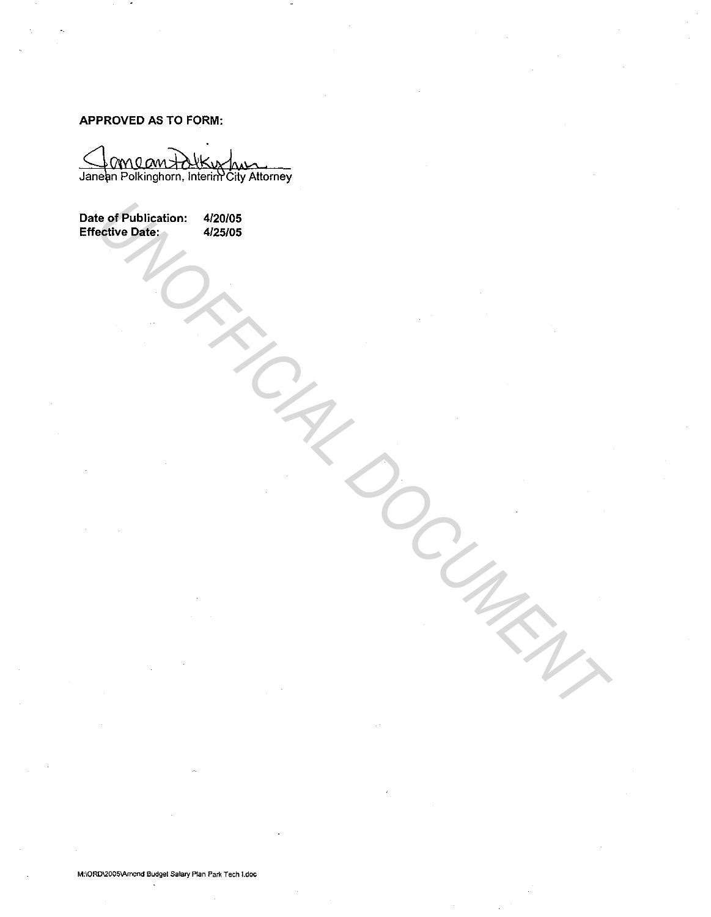APPROVED AS TO FORM:

Janean Polkinghorn, Interim City Attorney

Date of Publication: 4/20/05 Effective Date: 4/25/05 **US OF PUBLICATION:** 422005<br>
APROVED DATE:<br>
APROVED DATE:<br>
APROVED DEL ANDRE DEL ANDRE DEL ANDRE DEL ANDRE DEL ANDRE DEL ANDRE DEL ANDRE DEL ANDRE DEL ANDRE DEL ANDRE DEL ANDRE DEL CONTROLLER DEL CONTROLLER DEL CONTROLLER

M:\ORD\2005\Amend Budget Salary Plan Park Tech I.doc